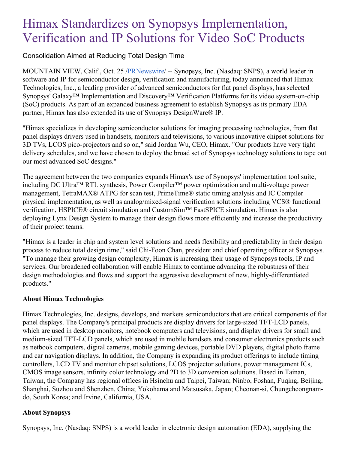## Himax Standardizes on Synopsys Implementation, Verification and IP Solutions for Video SoC Products

Consolidation Aimed at Reducing Total Design Time

MOUNTAIN VIEW, Calif., Oct. 25 [/PRNewswire](http://www.prnewswire.com/)/ -- Synopsys, Inc. (Nasdaq: SNPS), a world leader in software and IP for semiconductor design, verification and manufacturing, today announced that Himax Technologies, Inc., a leading provider of advanced semiconductors for flat panel displays, has selected Synopsys' Galaxy™ Implementation and Discovery™ Verification Platforms for its video system-on-chip (SoC) products. As part of an expanded business agreement to establish Synopsys as its primary EDA partner, Himax has also extended its use of Synopsys DesignWare® IP.

"Himax specializes in developing semiconductor solutions for imaging processing technologies, from flat panel displays drivers used in handsets, monitors and televisions, to various innovative chipset solutions for 3D TVs, LCOS pico-projectors and so on," said Jordan Wu, CEO, Himax. "Our products have very tight delivery schedules, and we have chosen to deploy the broad set of Synopsys technology solutions to tape out our most advanced SoC designs."

The agreement between the two companies expands Himax's use of Synopsys' implementation tool suite, including DC Ultra™ RTL synthesis, Power Compiler™ power optimization and multi-voltage power management, TetraMAX® ATPG for scan test, PrimeTime® static timing analysis and IC Compiler physical implementation, as well as analog/mixed-signal verification solutions including VCS® functional verification, HSPICE® circuit simulation and CustomSim™ FastSPICE simulation. Himax is also deploying Lynx Design System to manage their design flows more efficiently and increase the productivity of their project teams.

"Himax is a leader in chip and system level solutions and needs flexibility and predictability in their design process to reduce total design time," said Chi-Foon Chan, president and chief operating officer at Synopsys. "To manage their growing design complexity, Himax is increasing their usage of Synopsys tools, IP and services. Our broadened collaboration will enable Himax to continue advancing the robustness of their design methodologies and flows and support the aggressive development of new, highly-differentiated products."

## **About Himax Technologies**

Himax Technologies, Inc. designs, develops, and markets semiconductors that are critical components of flat panel displays. The Company's principal products are display drivers for large-sized TFT-LCD panels, which are used in desktop monitors, notebook computers and televisions, and display drivers for small and medium-sized TFT-LCD panels, which are used in mobile handsets and consumer electronics products such as netbook computers, digital cameras, mobile gaming devices, portable DVD players, digital photo frame and car navigation displays. In addition, the Company is expanding its product offerings to include timing controllers, LCD TV and monitor chipset solutions, LCOS projector solutions, power management ICs, CMOS image sensors, infinity color technology and 2D to 3D conversion solutions. Based in Tainan, Taiwan, the Company has regional offices in Hsinchu and Taipei, Taiwan; Ninbo, Foshan, Fuqing, Beijing, Shanghai, Suzhou and Shenzhen, China; Yokohama and Matsusaka, Japan; Cheonan-si, Chungcheongnamdo, South Korea; and Irvine, California, USA.

## **About Synopsys**

Synopsys, Inc. (Nasdaq: SNPS) is a world leader in electronic design automation (EDA), supplying the